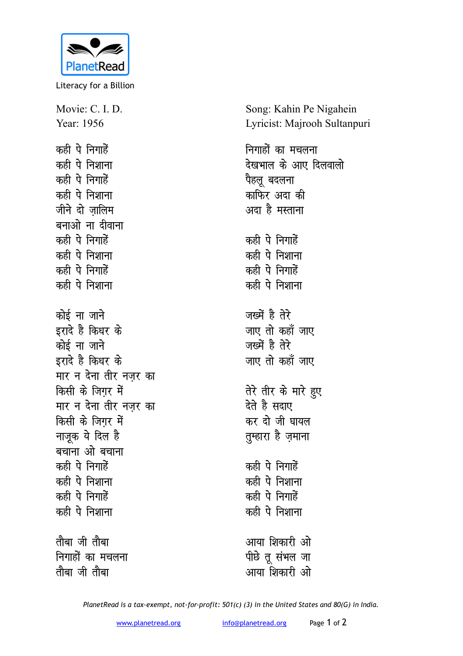

Literacy for a Billion

Movie: C. I. D. Year: 1956 कही पे निगाहें कही पे निशाना कही पे निगाहें कही पे निशाना जीने दो जालिम बनाओ ना दीवाना कही पे निगाहें कही पे निशाना कही पे निगाहें कही पे निशाना कोई ना जाने इरादे है किधर के कोई ना जाने इरादे है किधर के मार न देना तीर नजर का किसी के जिगर में मार न देना तीर नजर का किसी के जिगर में नाजूक ये दिल है बचाना ओ बचाना कही पे निगाहें कही पे निशाना कही पे निगाहें कही पे निशाना तौबा जी तौबा

निगाहों का मचलना तौबा जी तौबा

Song: Kahin Pe Nigahein Lyricist: Majrooh Sultanpuri

निगाहों का मचलना देखभाल के आए दिलवालो पैहलु बदलना काफिर अदा की अदा है मस्ताना कही पे निगाहें कही पे निशाना कही पे निगाहें कही पे निशाना जख्में है तेरे जाए तो कहाँ जाए जख्में है तेरे जाए तो कहाँ जाए तेरे तीर के मारे हुए देते है सदाए कर दो जी घायल तुम्हारा है ज़माना कही पे निगाहें कही पे निशाना कही पे निगाहें कही पे निशाना आया शिकारी ओ पीछे तू संभल जा आया शिकारी ओ

PlanetRead is a tax-exempt, not-for-profit: 501(c) (3) in the United States and 80(G) in India.